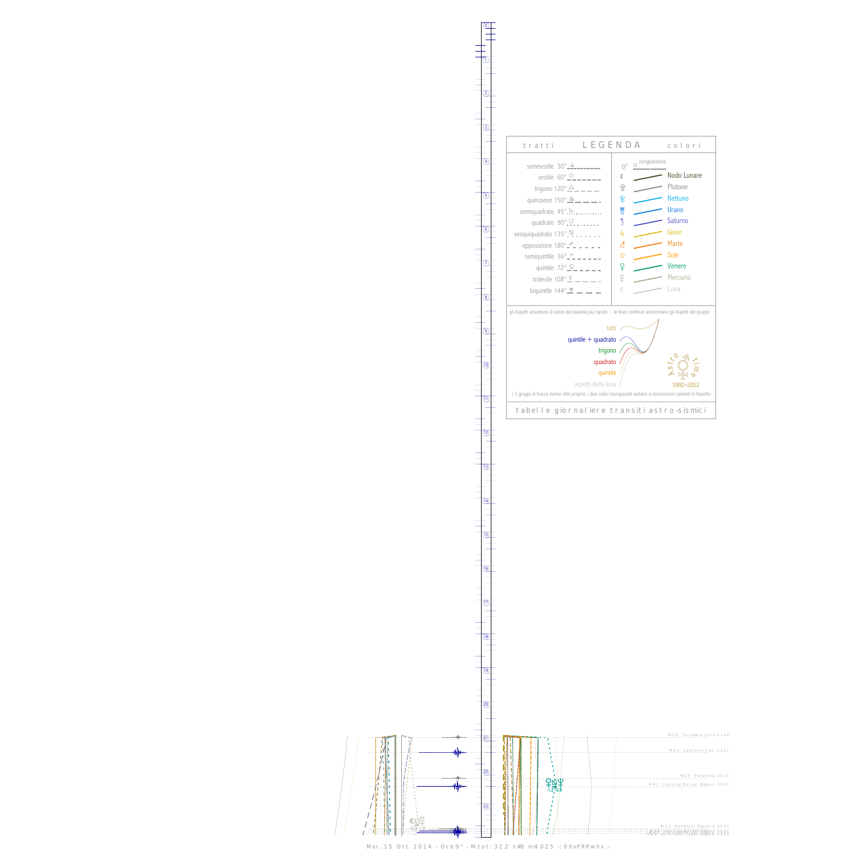$\bigg)$